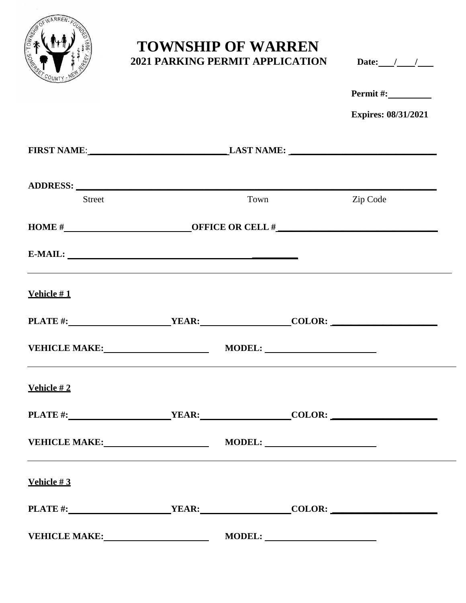

# **TOWNSHIP OF WARREN 2021 PARKING PERMIT APPLICATION**

| <b>Date:</b> |  |  |
|--------------|--|--|
|              |  |  |

| Permit#:                   |
|----------------------------|
| <b>Expires: 08/31/2021</b> |

|                                                                                                                                                                                                                                |                               | FIRST NAME: LAST NAME: |             |          |  |
|--------------------------------------------------------------------------------------------------------------------------------------------------------------------------------------------------------------------------------|-------------------------------|------------------------|-------------|----------|--|
| ADDRESS: North Contract of the Contract of the Contract of the Contract of the Contract of the Contract of the Contract of the Contract of the Contract of the Contract of the Contract of the Contract of the Contract of the |                               |                        |             |          |  |
| <b>Street</b>                                                                                                                                                                                                                  |                               |                        | <b>Town</b> | Zip Code |  |
|                                                                                                                                                                                                                                | HOME $\#$ OFFICE OR CELL $\#$ |                        |             |          |  |
|                                                                                                                                                                                                                                |                               |                        |             |          |  |
| Vehicle $#1$                                                                                                                                                                                                                   |                               |                        |             |          |  |
|                                                                                                                                                                                                                                |                               |                        |             |          |  |
| VEHICLE MAKE: MODEL: MODEL:<br><u> 1989 - An Dùbhlachd ann an Dùbhlachd ann an Dùbhlachd ann an Dùbhlachd ann an Dùbhlachd ann an Dùbhlachd ann an </u>                                                                        |                               |                        |             |          |  |
| Vehicle $#2$                                                                                                                                                                                                                   |                               |                        |             |          |  |
|                                                                                                                                                                                                                                |                               |                        |             |          |  |
| VEHICLE MAKE: MODEL: MODEL:<br><u> 1999 - Jan Samuel Barbara, markadar a shekara ta 1999 - An tsara tsa a shekara tsa a shekara tsa a shekara ts</u>                                                                           |                               |                        |             |          |  |
| Vehicle $#3$                                                                                                                                                                                                                   |                               |                        |             |          |  |
|                                                                                                                                                                                                                                |                               |                        |             |          |  |
| <b>VEHICLE MAKE:</b>                                                                                                                                                                                                           |                               | <b>MODEL:</b>          |             |          |  |